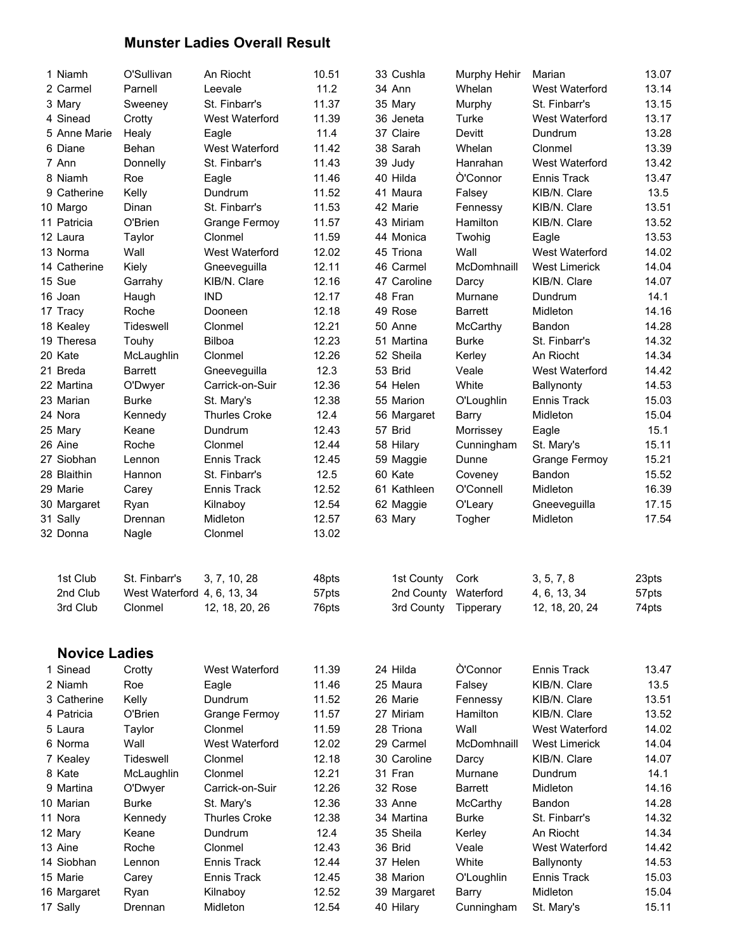## Munster Ladies Overall Result

| 1 Niamh              | O'Sullivan                  | An Riocht            | 10.51 | 33 Cushla            | Murphy Hehir    | Marian               | 13.07 |
|----------------------|-----------------------------|----------------------|-------|----------------------|-----------------|----------------------|-------|
| 2 Carmel             | Parnell                     | Leevale              | 11.2  | 34 Ann               | Whelan          | West Waterford       | 13.14 |
| 3 Mary               | Sweeney                     | St. Finbarr's        | 11.37 | 35 Mary              | Murphy          | St. Finbarr's        | 13.15 |
| 4 Sinead             | Crotty                      | West Waterford       | 11.39 | 36 Jeneta            | Turke           | West Waterford       | 13.17 |
| 5 Anne Marie         | Healy                       | Eagle                | 11.4  | 37 Claire            | Devitt          | Dundrum              | 13.28 |
| 6 Diane              | Behan                       | West Waterford       | 11.42 | 38 Sarah             | Whelan          | Clonmel              | 13.39 |
| 7 Ann                | Donnelly                    | St. Finbarr's        | 11.43 | 39 Judy              | Hanrahan        | West Waterford       | 13.42 |
| 8 Niamh              | Roe                         | Eagle                | 11.46 | 40 Hilda             | <b>O'Connor</b> | Ennis Track          | 13.47 |
| 9 Catherine          | Kelly                       | Dundrum              | 11.52 | 41 Maura             | Falsey          | KIB/N. Clare         | 13.5  |
| 10 Margo             | Dinan                       | St. Finbarr's        | 11.53 | 42 Marie             | Fennessy        | KIB/N. Clare         | 13.51 |
| 11 Patricia          | O'Brien                     | <b>Grange Fermoy</b> | 11.57 | 43 Miriam            | Hamilton        | KIB/N. Clare         | 13.52 |
| 12 Laura             | Taylor                      | Clonmel              | 11.59 | 44 Monica            | Twohig          | Eagle                | 13.53 |
| 13 Norma             | Wall                        | West Waterford       | 12.02 | 45 Triona            | Wall            | West Waterford       | 14.02 |
| 14 Catherine         | Kiely                       | Gneeveguilla         | 12.11 | 46 Carmel            | McDomhnaill     | <b>West Limerick</b> | 14.04 |
| 15 Sue               | Garrahy                     | KIB/N. Clare         | 12.16 | 47 Caroline          | Darcy           | KIB/N. Clare         | 14.07 |
| 16 Joan              | Haugh                       | <b>IND</b>           | 12.17 | 48 Fran              | Murnane         | Dundrum              | 14.1  |
| 17 Tracy             | Roche                       | Dooneen              | 12.18 | 49 Rose              | <b>Barrett</b>  | Midleton             | 14.16 |
| 18 Kealey            | Tideswell                   | Clonmel              | 12.21 | 50 Anne              | McCarthy        | Bandon               | 14.28 |
| 19 Theresa           | Touhy                       | <b>Bilboa</b>        | 12.23 | 51 Martina           | <b>Burke</b>    | St. Finbarr's        | 14.32 |
| 20 Kate              | McLaughlin                  | Clonmel              | 12.26 | 52 Sheila            | Kerley          | An Riocht            | 14.34 |
| 21 Breda             | <b>Barrett</b>              | Gneeveguilla         | 12.3  | 53 Brid              | Veale           | West Waterford       | 14.42 |
| 22 Martina           | O'Dwyer                     | Carrick-on-Suir      | 12.36 | 54 Helen             | White           | Ballynonty           | 14.53 |
| 23 Marian            | <b>Burke</b>                | St. Mary's           | 12.38 | 55 Marion            | O'Loughlin      | <b>Ennis Track</b>   | 15.03 |
| 24 Nora              | Kennedy                     | <b>Thurles Croke</b> | 12.4  | 56 Margaret          | Barry           | Midleton             | 15.04 |
| 25 Mary              | Keane                       | Dundrum              | 12.43 | 57 Brid              | Morrissey       | Eagle                | 15.1  |
| 26 Aine              | Roche                       | Clonmel              | 12.44 | 58 Hilary            | Cunningham      | St. Mary's           | 15.11 |
| 27 Siobhan           | Lennon                      | Ennis Track          | 12.45 | 59 Maggie            | Dunne           | Grange Fermoy        | 15.21 |
| 28 Blaithin          | Hannon                      | St. Finbarr's        | 12.5  | 60 Kate              | Coveney         | Bandon               | 15.52 |
| 29 Marie             | Carey                       | Ennis Track          | 12.52 | 61 Kathleen          | O'Connell       | Midleton             | 16.39 |
| 30 Margaret          | Ryan                        | Kilnaboy             | 12.54 | 62 Maggie            | O'Leary         | Gneeveguilla         | 17.15 |
| 31 Sally             | Drennan                     | Midleton             | 12.57 | 63 Mary              | Togher          | Midleton             | 17.54 |
| 32 Donna             | Nagle                       | Clonmel              | 13.02 |                      |                 |                      |       |
|                      |                             |                      |       |                      |                 |                      |       |
| 1st Club             | St. Finbarr's               | 3, 7, 10, 28         | 48pts | 1st County           | Cork            | 3, 5, 7, 8           | 23pts |
| 2nd Club             | West Waterford 4, 6, 13, 34 |                      | 57pts | 2nd County Waterford |                 | 4, 6, 13, 34         | 57pts |
| 3rd Club             | Clonmel                     | 12, 18, 20, 26       | 76pts | 3rd County           | Tipperary       | 12, 18, 20, 24       | 74pts |
| <b>Novice Ladies</b> |                             |                      |       |                      |                 |                      |       |
|                      |                             |                      |       |                      |                 |                      |       |
| 1 Sinead             | Crotty                      | West Waterford       | 11.39 | 24 Hilda             | Ò'Connor        | Ennis Track          | 13.47 |
| 2 Niamh              | Roe                         | Eagle                | 11.46 | 25 Maura             | Falsey          | KIB/N. Clare         | 13.5  |
| 3 Catherine          | Kelly                       | Dundrum              | 11.52 | 26 Marie             | Fennessy        | KIB/N. Clare         | 13.51 |
| 4 Patricia           | O'Brien                     | <b>Grange Fermoy</b> | 11.57 | 27 Miriam            | Hamilton        | KIB/N. Clare         | 13.52 |
| 5 Laura              | Taylor                      | Clonmel              | 11.59 | 28 Triona            | Wall            | West Waterford       | 14.02 |
| 6 Norma              | Wall                        | West Waterford       | 12.02 | 29 Carmel            | McDomhnaill     | <b>West Limerick</b> | 14.04 |
| 7 Kealey             | Tideswell                   | Clonmel              | 12.18 | 30 Caroline          | Darcy           | KIB/N. Clare         | 14.07 |
| 8 Kate               | McLaughlin                  | Clonmel              | 12.21 | 31 Fran              | Murnane         | Dundrum              | 14.1  |
| 9 Martina            | O'Dwyer                     | Carrick-on-Suir      | 12.26 | 32 Rose              | <b>Barrett</b>  | Midleton             | 14.16 |
| 10 Marian            | <b>Burke</b>                | St. Mary's           | 12.36 | 33 Anne              | McCarthy        | Bandon               | 14.28 |
| 11 Nora              | Kennedy                     | <b>Thurles Croke</b> | 12.38 | 34 Martina           | <b>Burke</b>    | St. Finbarr's        | 14.32 |
| 12 Mary              | Keane                       | Dundrum              | 12.4  | 35 Sheila            | Kerley          | An Riocht            | 14.34 |
| 13 Aine              | Roche                       | Clonmel              | 12.43 | 36 Brid              | Veale           | West Waterford       | 14.42 |
| 14 Siobhan           | Lennon                      | Ennis Track          | 12.44 | 37 Helen             | White           | Ballynonty           | 14.53 |
| 15 Marie             | Carey                       | <b>Ennis Track</b>   | 12.45 | 38 Marion            | O'Loughlin      | Ennis Track          | 15.03 |
| 16 Margaret          | Ryan                        | Kilnaboy             | 12.52 | 39 Margaret          | Barry           | Midleton             | 15.04 |
| 17 Sally             | Drennan                     | Midleton             | 12.54 | 40 Hilary            | Cunningham      | St. Mary's           | 15.11 |